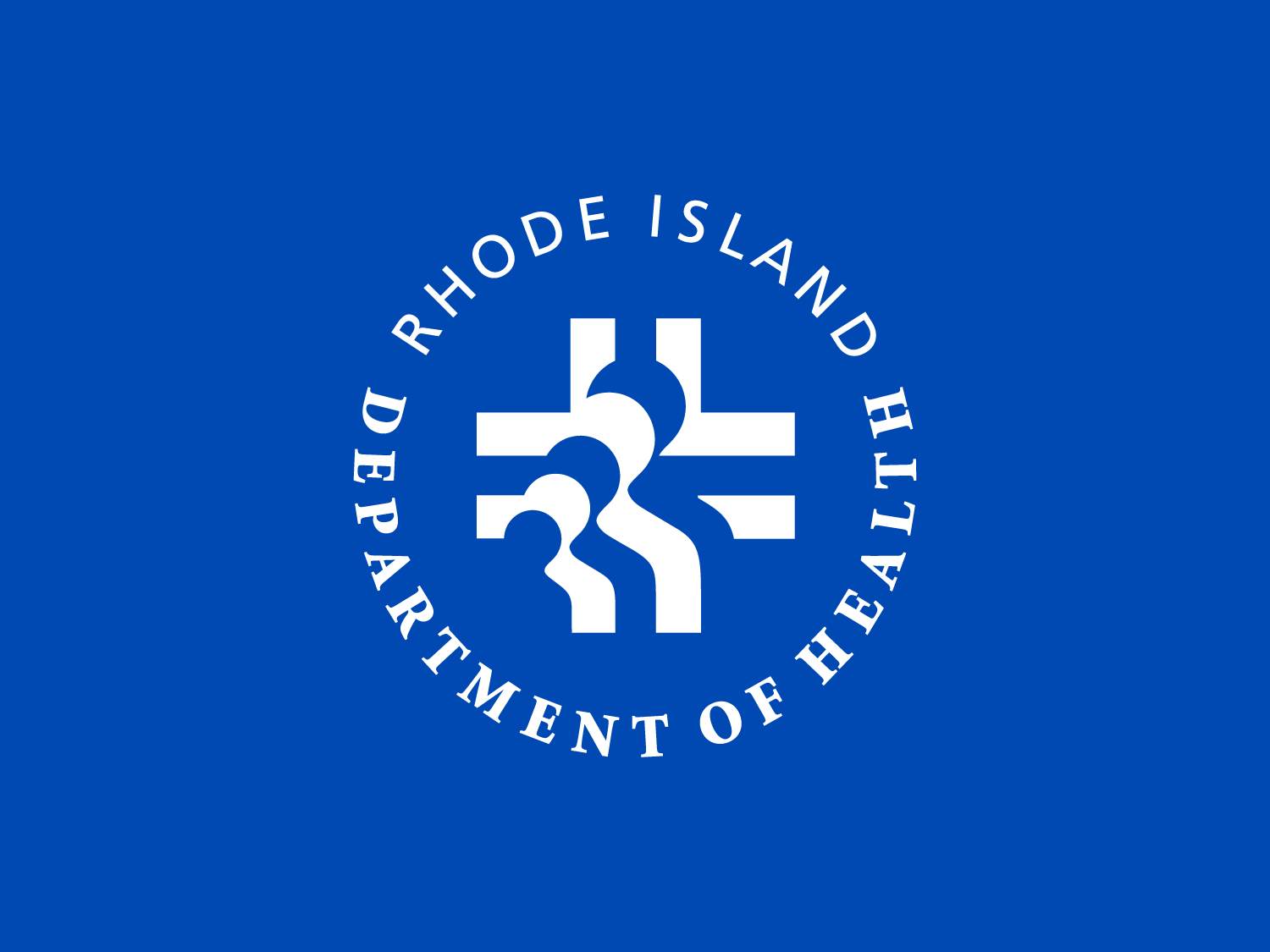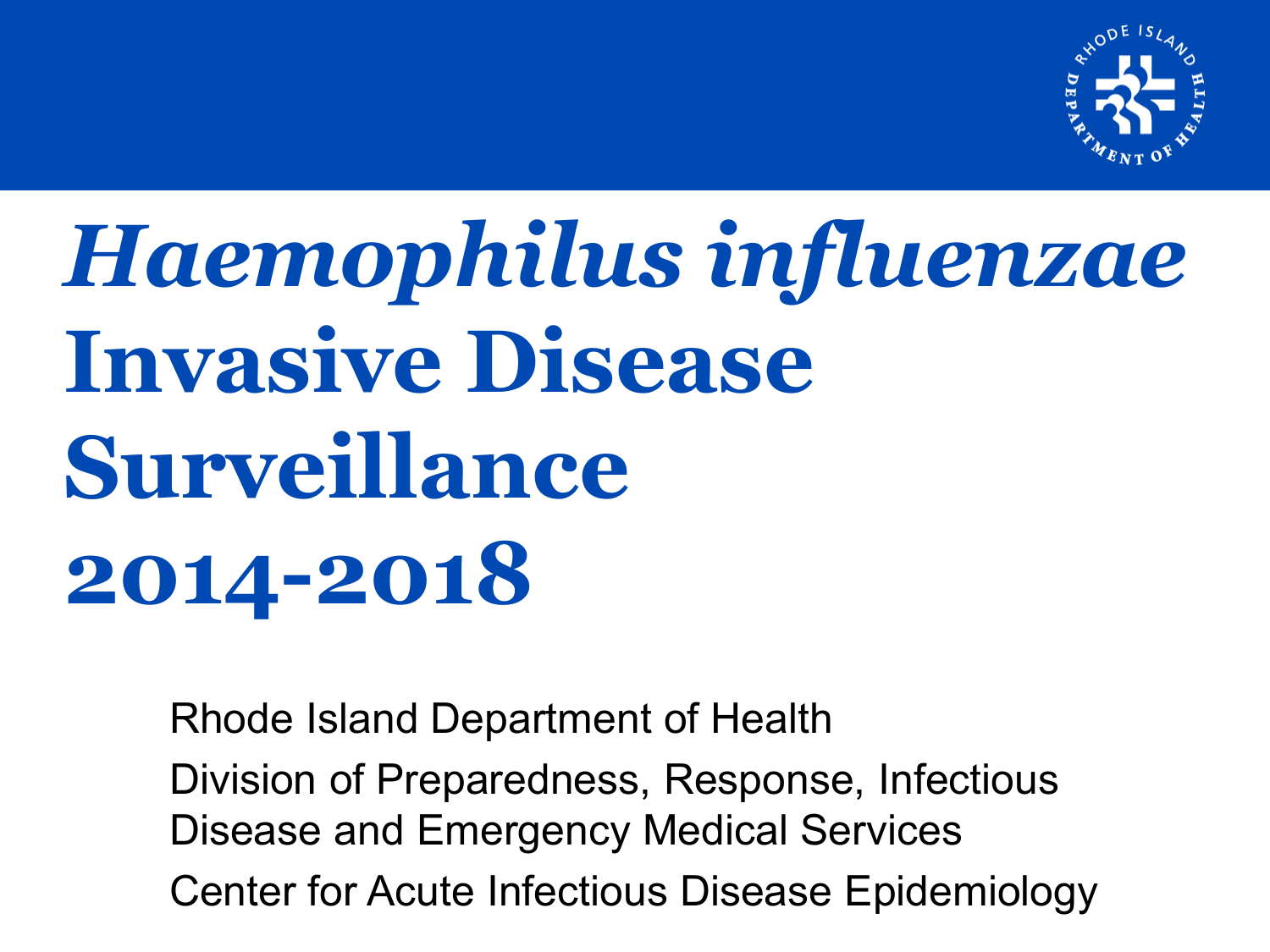

# *Haemophilus influenzae*  **Invasive Disease Surveillance 2014-2018**

Rhode Island Department of Health Division of Preparedness, Response, Infectious Disease and Emergency Medical Services Center for Acute Infectious Disease Epidemiology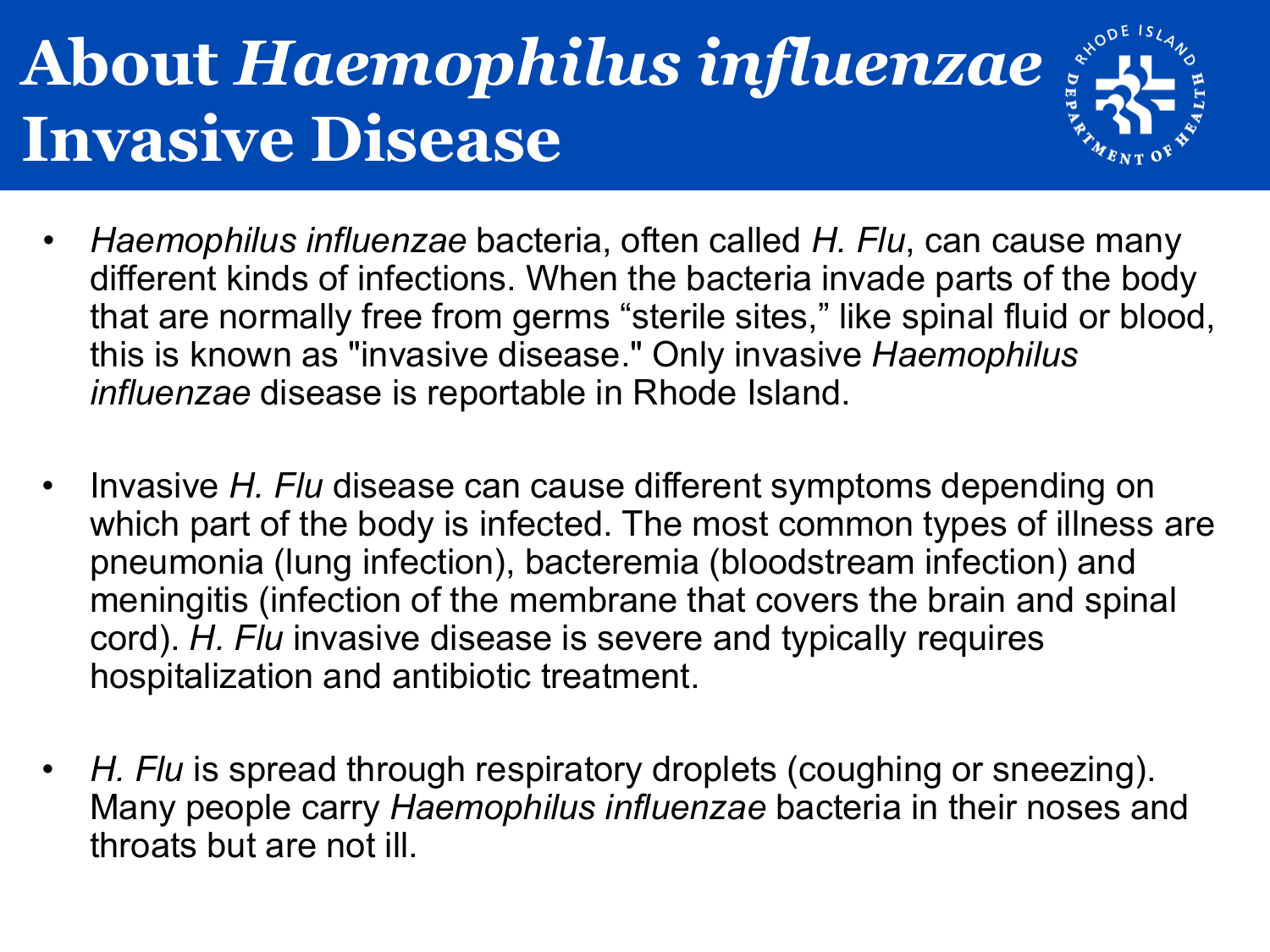## **About** *Haemophilus influenzae*  **Invasive Disease**



- Invasive *H. Flu* disease can cause different symptoms depending on which part of the body is infected. The most common types of illness are pneumonia (lung infection), bacteremia (bloodstream infection) and meningitis (infection of the membrane that covers the brain and spinal cord). *H. Flu* invasive disease is severe and typically requires hospitalization and antibiotic treatment.
- *H. Flu* is spread through respiratory droplets (coughing or sneezing). Many people carry *Haemophilus influenzae* bacteria in their noses and throats but are not ill.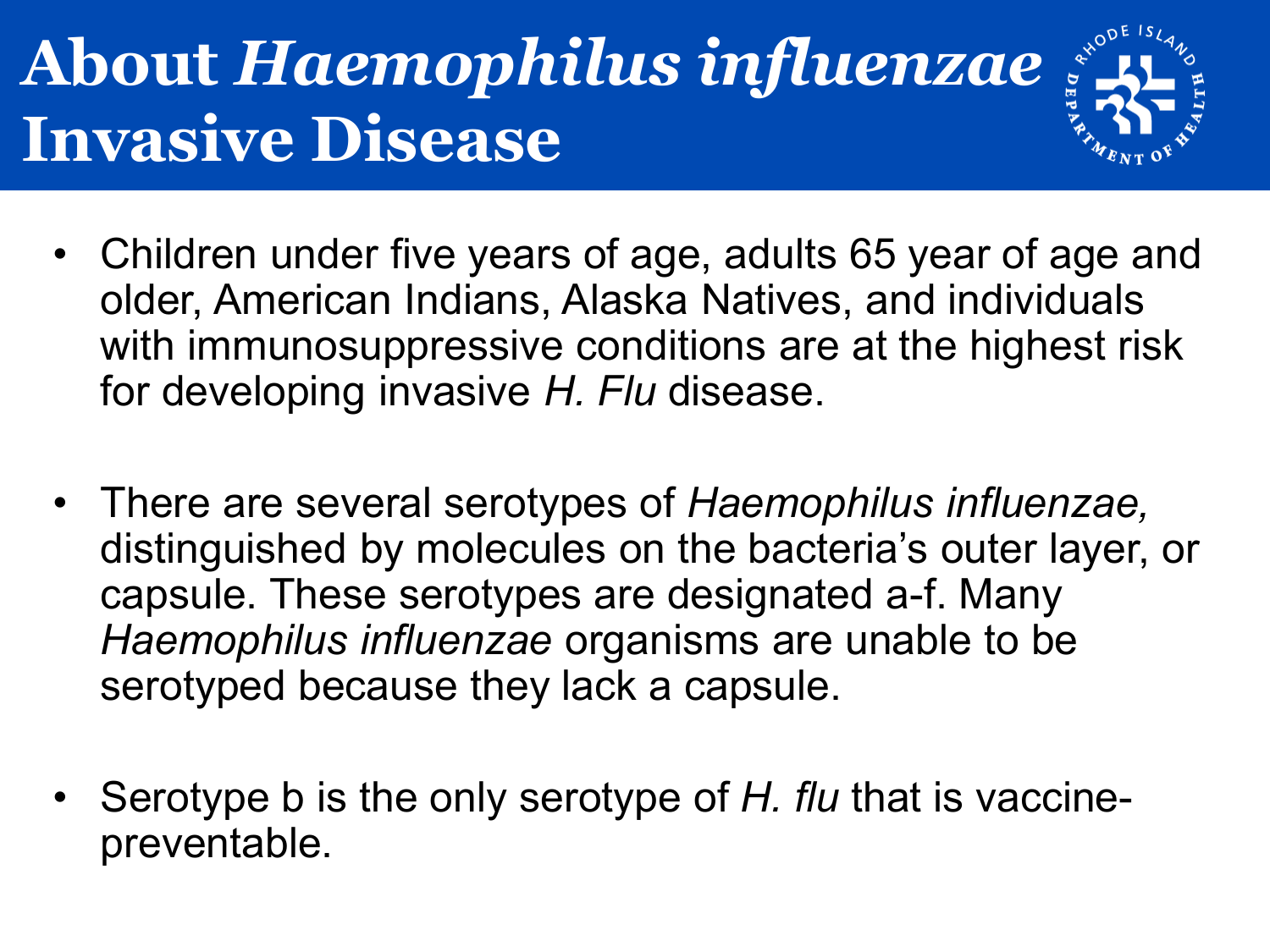## **About** *Haemophilus influenzae*  **Invasive Disease**



- Children under five years of age, adults 65 year of age and older, American Indians, Alaska Natives, and individuals with immunosuppressive conditions are at the highest risk for developing invasive *H. Flu* disease.
- There are several serotypes of *Haemophilus influenzae,*  distinguished by molecules on the bacteria's outer layer, or capsule. These serotypes are designated a-f. Many *Haemophilus influenzae* organisms are unable to be serotyped because they lack a capsule.
- Serotype b is the only serotype of *H. flu* that is vaccinepreventable.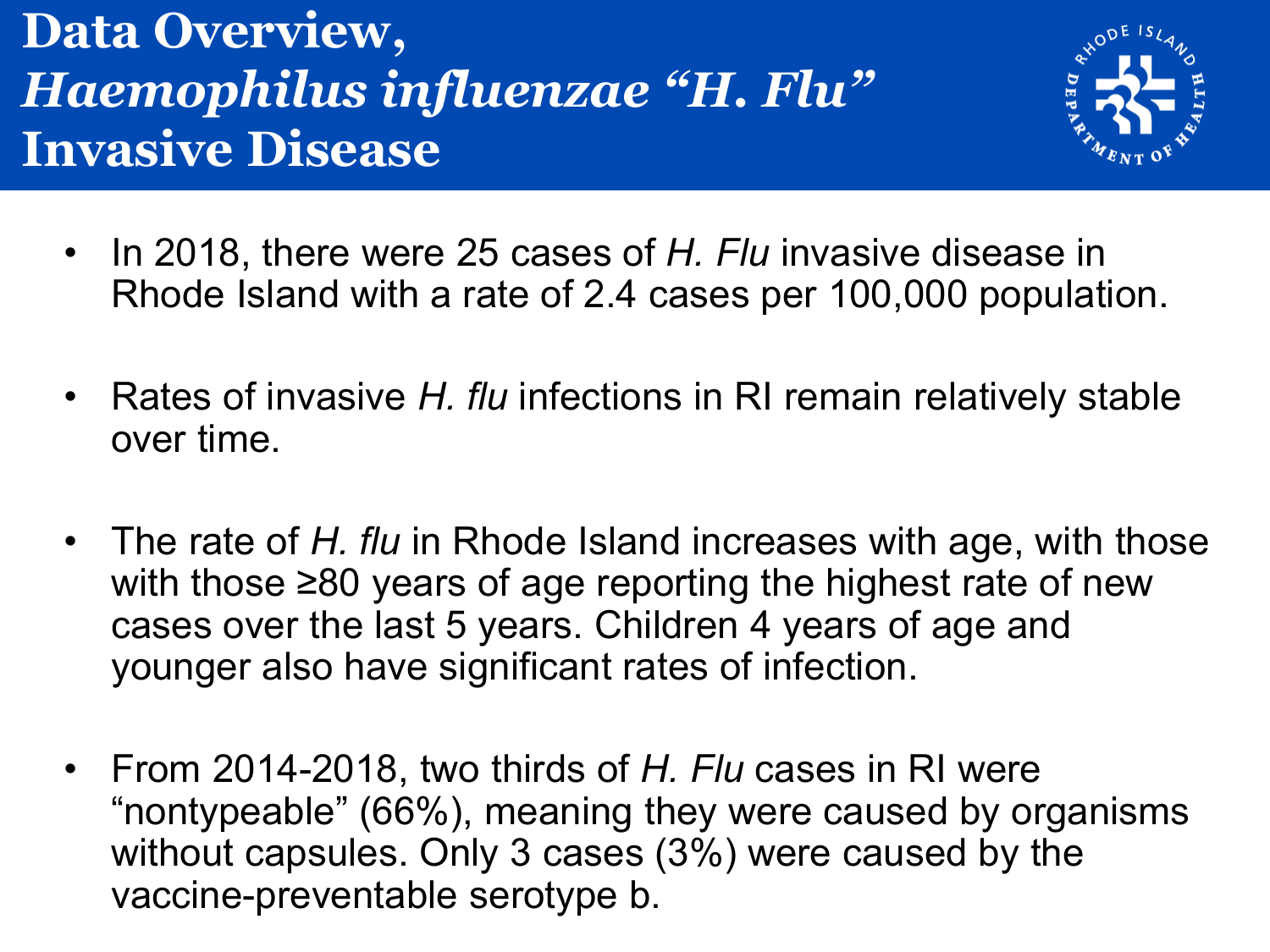#### **Data Overview,** *Haemophilus influenzae "H. Flu"*  **Invasive Disease**



- In 2018, there were 25 cases of *H. Flu* invasive disease in Rhode Island with a rate of 2.4 cases per 100,000 population.
- Rates of invasive *H. flu* infections in RI remain relatively stable over time.
- The rate of *H. flu* in Rhode Island increases with age, with those with those ≥80 years of age reporting the highest rate of new cases over the last 5 years. Children 4 years of age and younger also have significant rates of infection.
- From 2014-2018, two thirds of *H. Flu* cases in RI were "nontypeable" (66%), meaning they were caused by organisms without capsules. Only 3 cases (3%) were caused by the vaccine-preventable serotype b.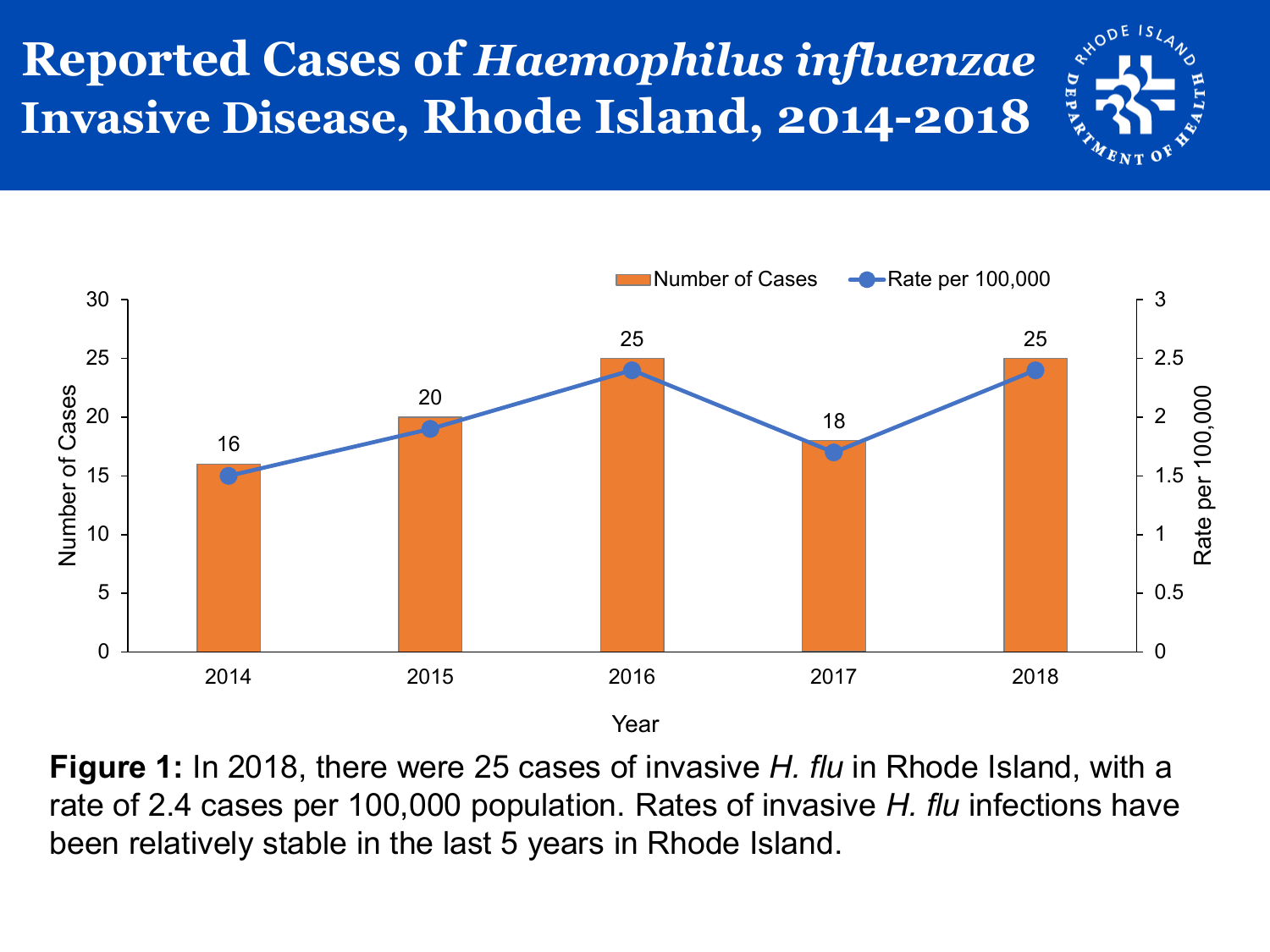#### **Reported Cases of** *Haemophilus influenzae*  **Invasive Disease, Rhode Island, 2014-2018**



**Figure 1:** In 2018, there were 25 cases of invasive *H. flu* in Rhode Island, with a rate of 2.4 cases per 100,000 population. Rates of invasive *H. flu* infections have been relatively stable in the last 5 years in Rhode Island.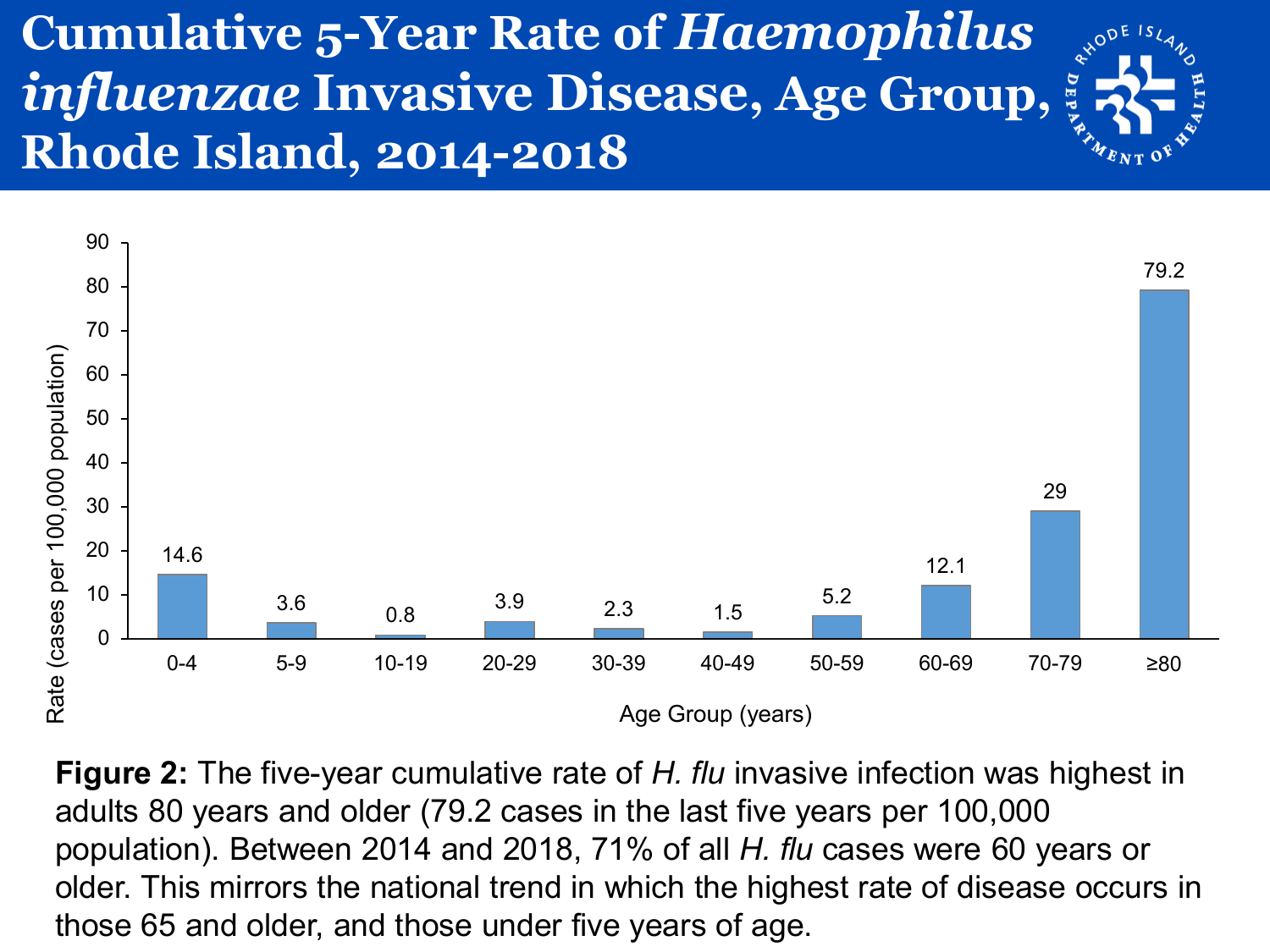#### **Cumulative 5-Year Rate of** *Haemophilus influenzae* **Invasive Disease, Age Group, Rhode Island, 2014-2018**



**Figure 2:** The five-year cumulative rate of *H. flu* invasive infection was highest in adults 80 years and older (79.2 cases in the last five years per 100,000 population). Between 2014 and 2018, 71% of all *H. flu* cases were 60 years or older. This mirrors the national trend in which the highest rate of disease occurs in those 65 and older, and those under five years of age.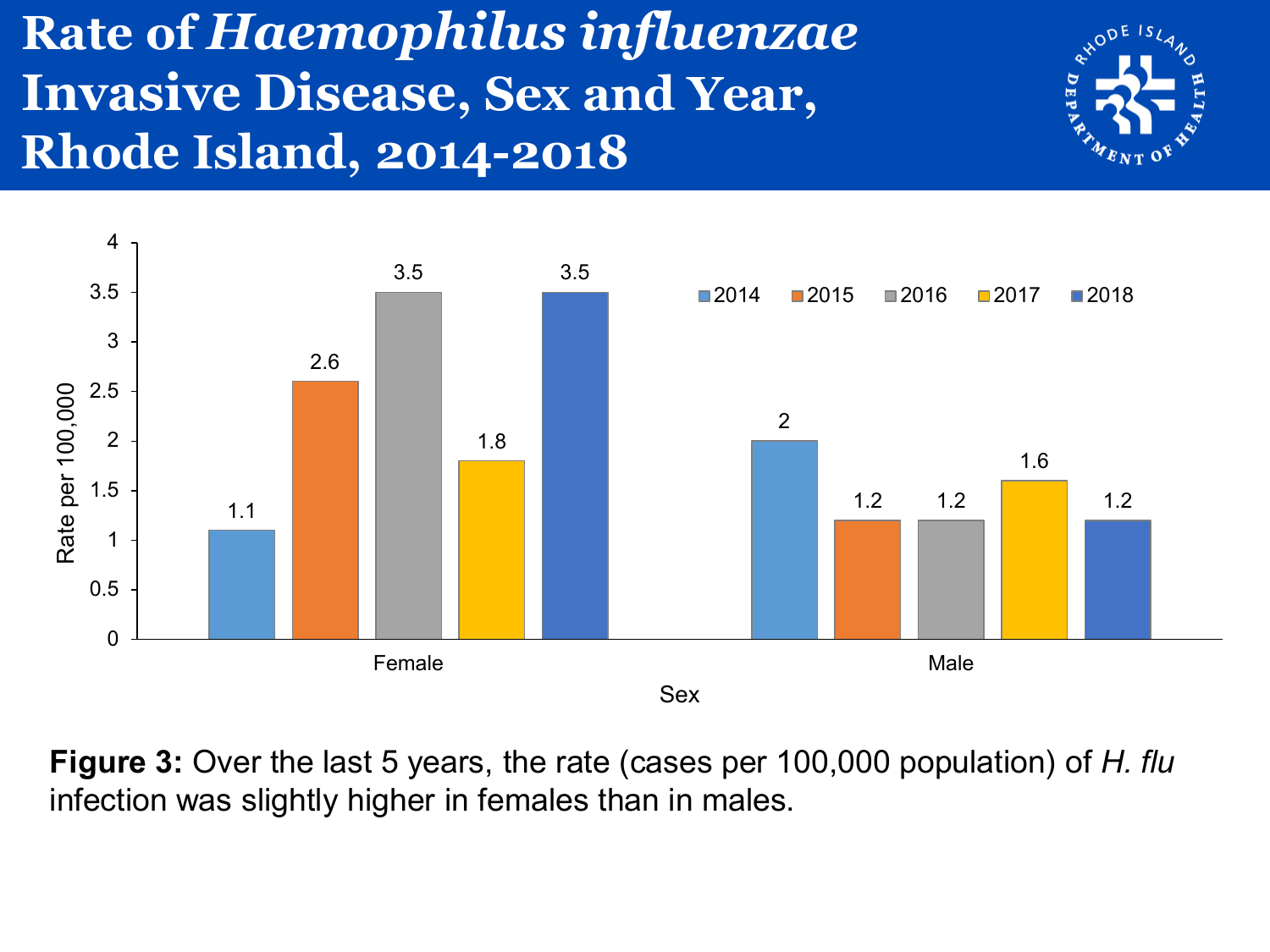#### **Rate of** *Haemophilus influenzae*  **Invasive Disease, Sex and Year, Rhode Island, 2014-2018**





**Figure 3:** Over the last 5 years, the rate (cases per 100,000 population) of *H. flu*  infection was slightly higher in females than in males.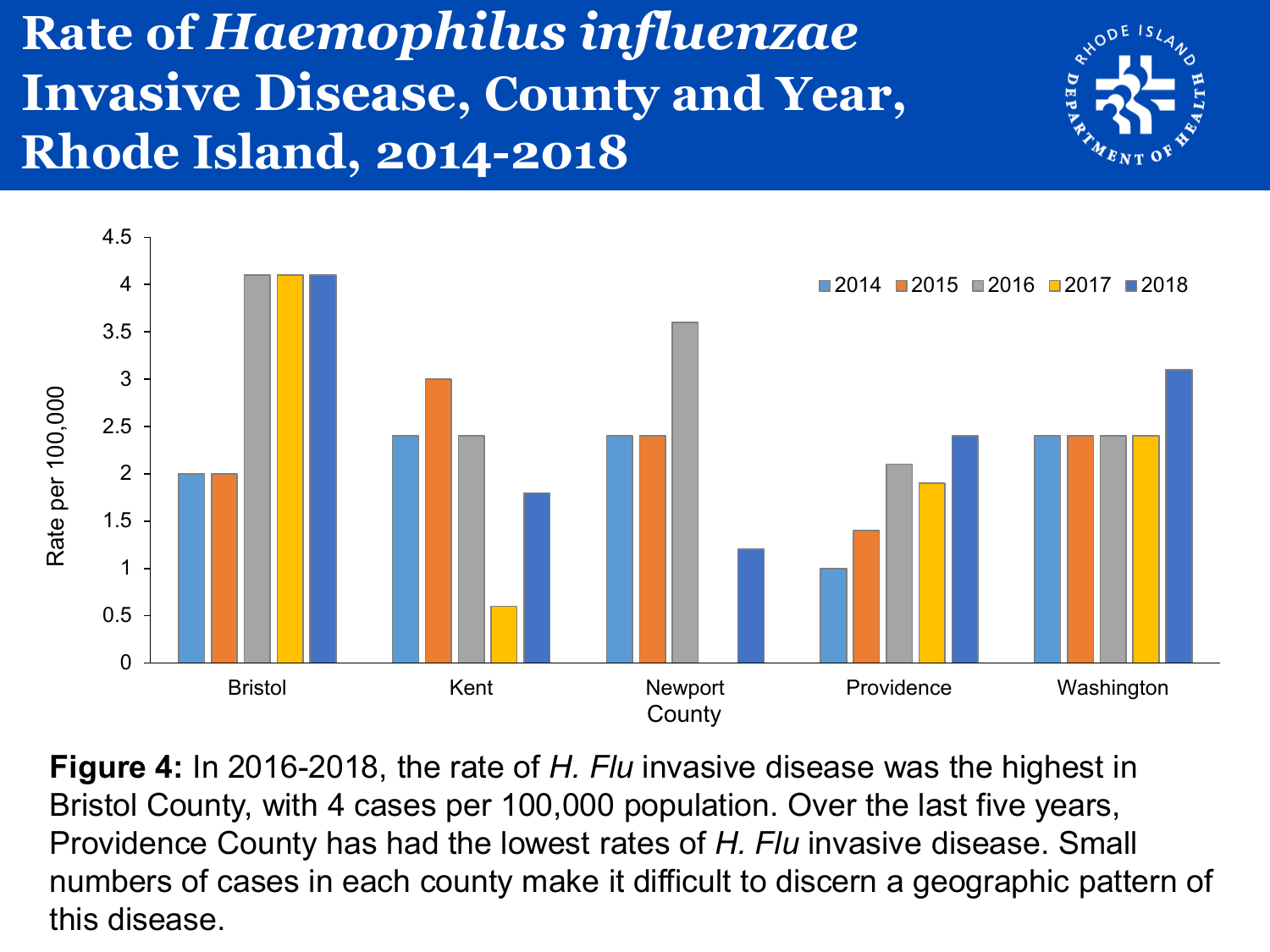#### **Rate of** *Haemophilus influenzae*  **Invasive Disease, County and Year, Rhode Island, 2014-2018**





**Figure 4:** In 2016-2018, the rate of *H. Flu* invasive disease was the highest in Bristol County, with 4 cases per 100,000 population. Over the last five years, Providence County has had the lowest rates of *H. Flu* invasive disease. Small numbers of cases in each county make it difficult to discern a geographic pattern of this disease.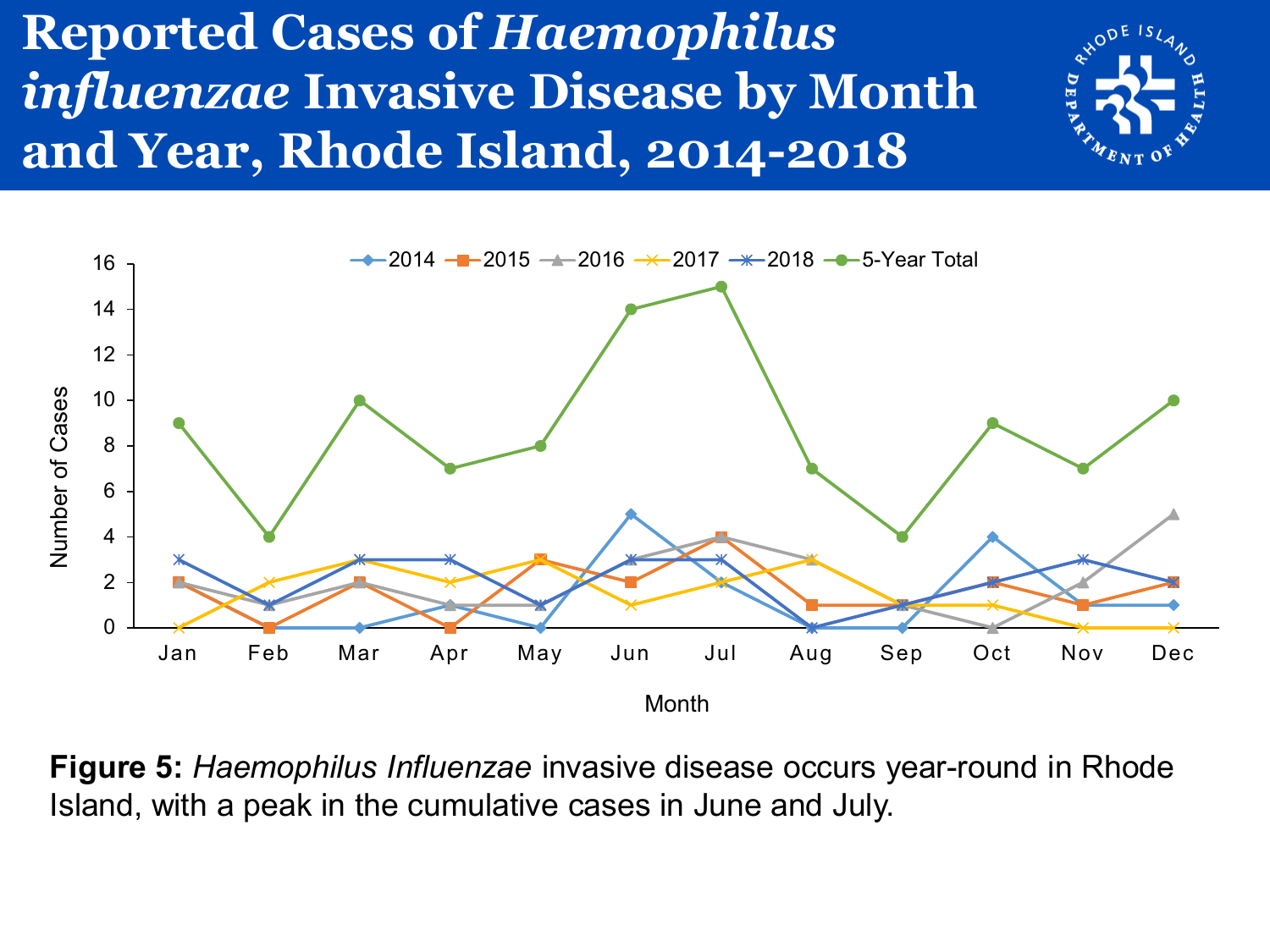#### **Reported Cases of** *Haemophilus influenzae* **Invasive Disease by Month and Year, Rhode Island, 2014-2018**





**Figure 5:** *Haemophilus Influenzae* invasive disease occurs year-round in Rhode Island, with a peak in the cumulative cases in June and July.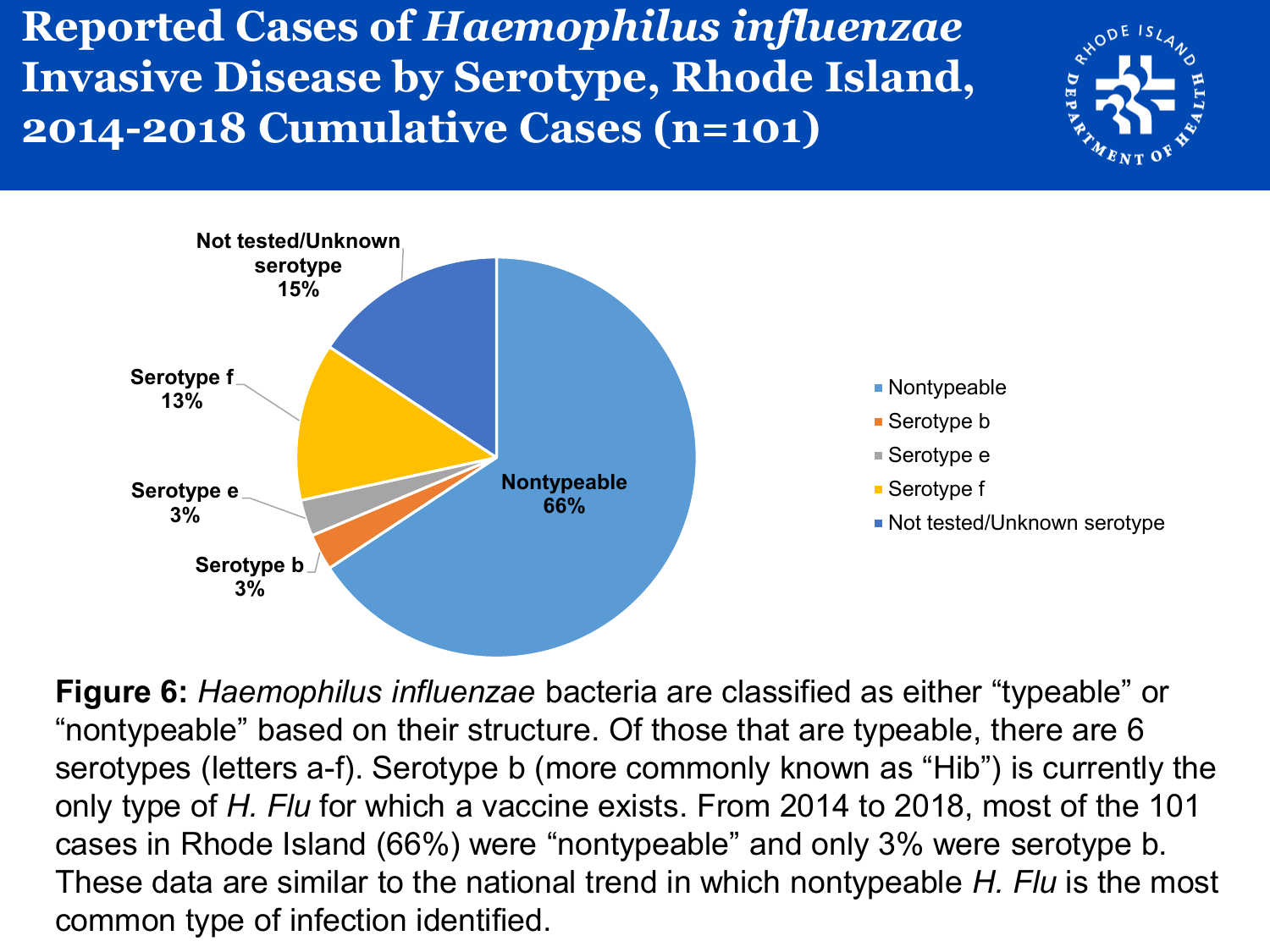**Reported Cases of** *Haemophilus influenzae*  **Invasive Disease by Serotype, Rhode Island, 2014-2018 Cumulative Cases (n=101)**





**Figure 6:** *Haemophilus influenzae* bacteria are classified as either "typeable" or "nontypeable" based on their structure. Of those that are typeable, there are 6 serotypes (letters a-f). Serotype b (more commonly known as "Hib") is currently the only type of *H. Flu* for which a vaccine exists. From 2014 to 2018, most of the 101 cases in Rhode Island (66%) were "nontypeable" and only 3% were serotype b. These data are similar to the national trend in which nontypeable *H. Flu* is the most common type of infection identified.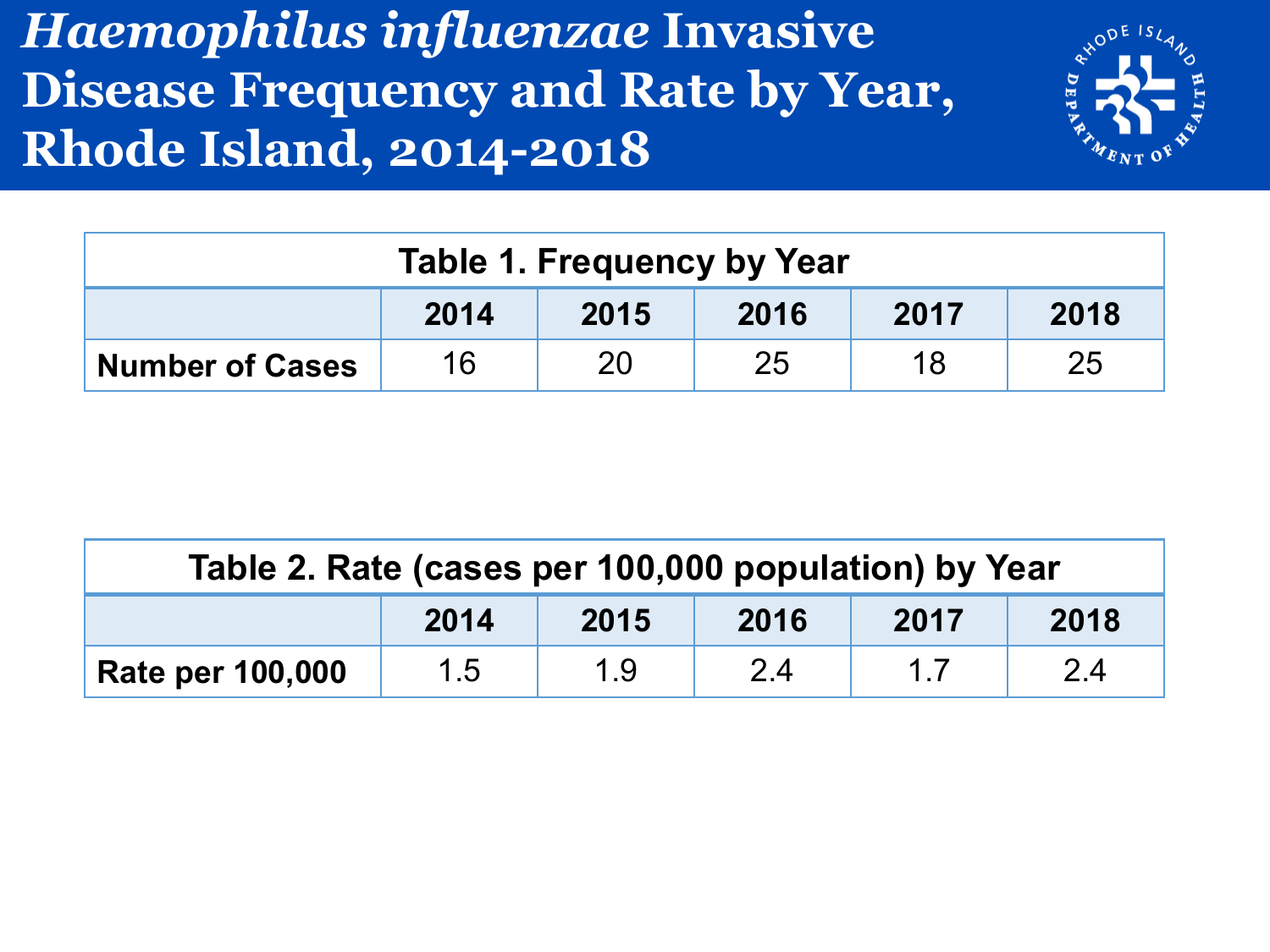#### *Haemophilus influenzae* **Invasive Disease Frequency and Rate by Year, Rhode Island, 2014-2018**



| <b>Table 1. Frequency by Year</b> |                                      |    |    |    |    |  |  |  |
|-----------------------------------|--------------------------------------|----|----|----|----|--|--|--|
|                                   | 2014<br>2015<br>2016<br>2018<br>2017 |    |    |    |    |  |  |  |
| <b>Number of Cases</b>            | 16                                   | 20 | 25 | 18 | 25 |  |  |  |

| Table 2. Rate (cases per 100,000 population) by Year |     |     |     |    |     |  |  |
|------------------------------------------------------|-----|-----|-----|----|-----|--|--|
| 2015<br>2014<br>2016<br>2018<br>2017                 |     |     |     |    |     |  |  |
| <b>Rate per 100,000</b>                              | 1.5 | 1.9 | 2.4 | 17 | 2.4 |  |  |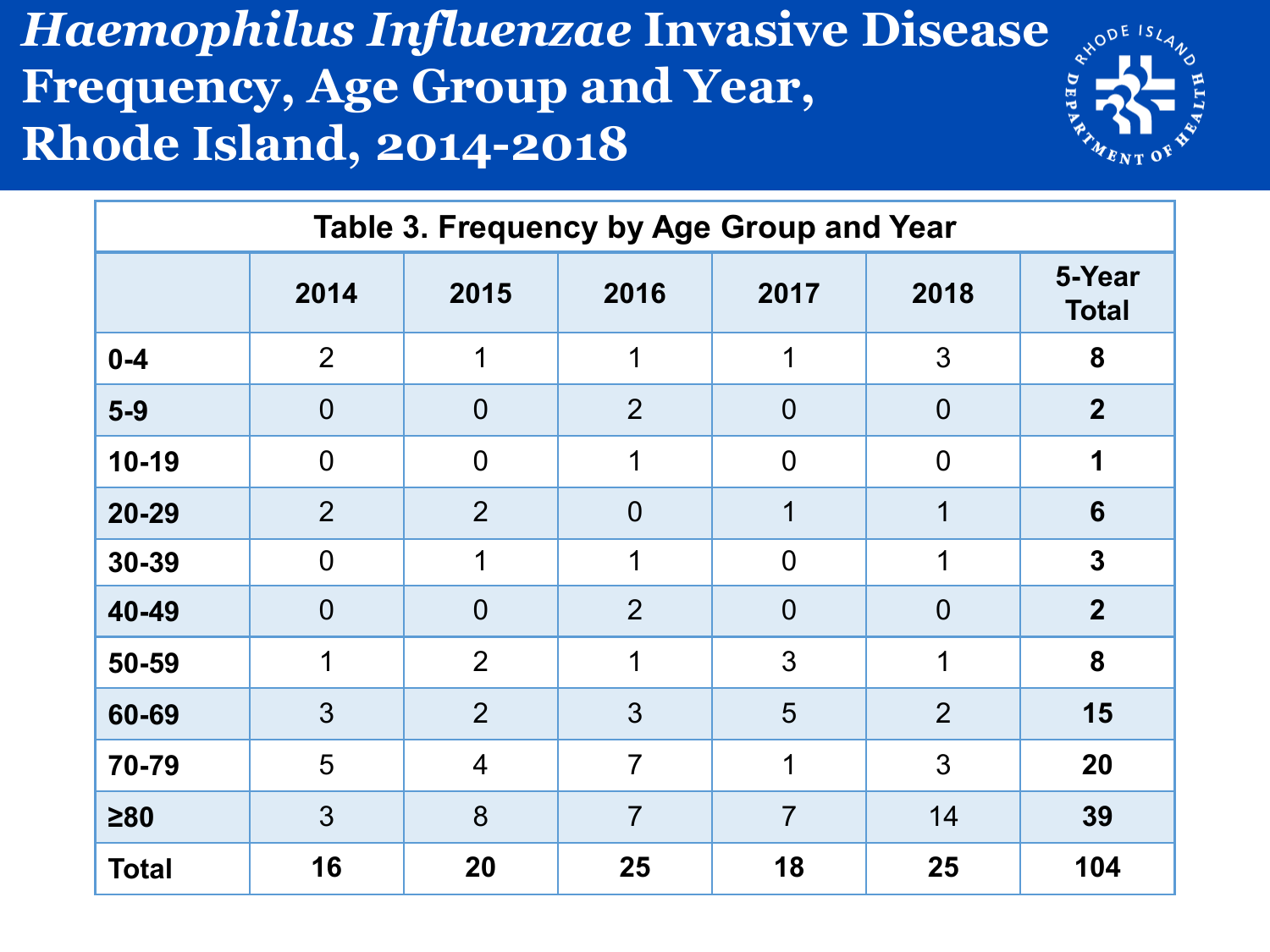#### *Haemophilus Influenzae* **Invasive Disease Frequency, Age Group and Year, Rhode Island, 2014-2018**



| Table 3. Frequency by Age Group and Year |                |                |                |                |                |                        |  |  |
|------------------------------------------|----------------|----------------|----------------|----------------|----------------|------------------------|--|--|
|                                          | 2014           | 2015           | 2016           | 2017           | 2018           | 5-Year<br><b>Total</b> |  |  |
| $0 - 4$                                  | $\overline{2}$ | 1              | 1              |                | 3              | 8                      |  |  |
| $5-9$                                    | $\overline{0}$ | $\overline{0}$ | $\overline{2}$ | $\overline{0}$ | $\overline{0}$ | $\overline{2}$         |  |  |
| $10-19$                                  | $\overline{0}$ | $\overline{0}$ | 1              | $\overline{0}$ | $\overline{0}$ | 1                      |  |  |
| $20 - 29$                                | $\overline{2}$ | $\overline{2}$ | $\overline{0}$ | 1              | 1              | 6                      |  |  |
| 30-39                                    | $\overline{0}$ | 1              | 1              | $\overline{0}$ |                | $\mathbf{3}$           |  |  |
| 40-49                                    | $\overline{0}$ | $\overline{0}$ | $\overline{2}$ | $\overline{0}$ | $\overline{0}$ | $\overline{2}$         |  |  |
| 50-59                                    | 1              | $\overline{2}$ | 1              | 3              | 1              | 8                      |  |  |
| 60-69                                    | 3              | $\overline{2}$ | 3              | 5              | $\overline{2}$ | 15                     |  |  |
| 70-79                                    | 5              | $\overline{4}$ | $\overline{7}$ | 1              | 3              | 20                     |  |  |
| $\geq 80$                                | 3              | 8              | $\overline{7}$ | $\overline{7}$ | 14             | 39                     |  |  |
| <b>Total</b>                             | 16             | 20             | 25             | 18             | 25             | 104                    |  |  |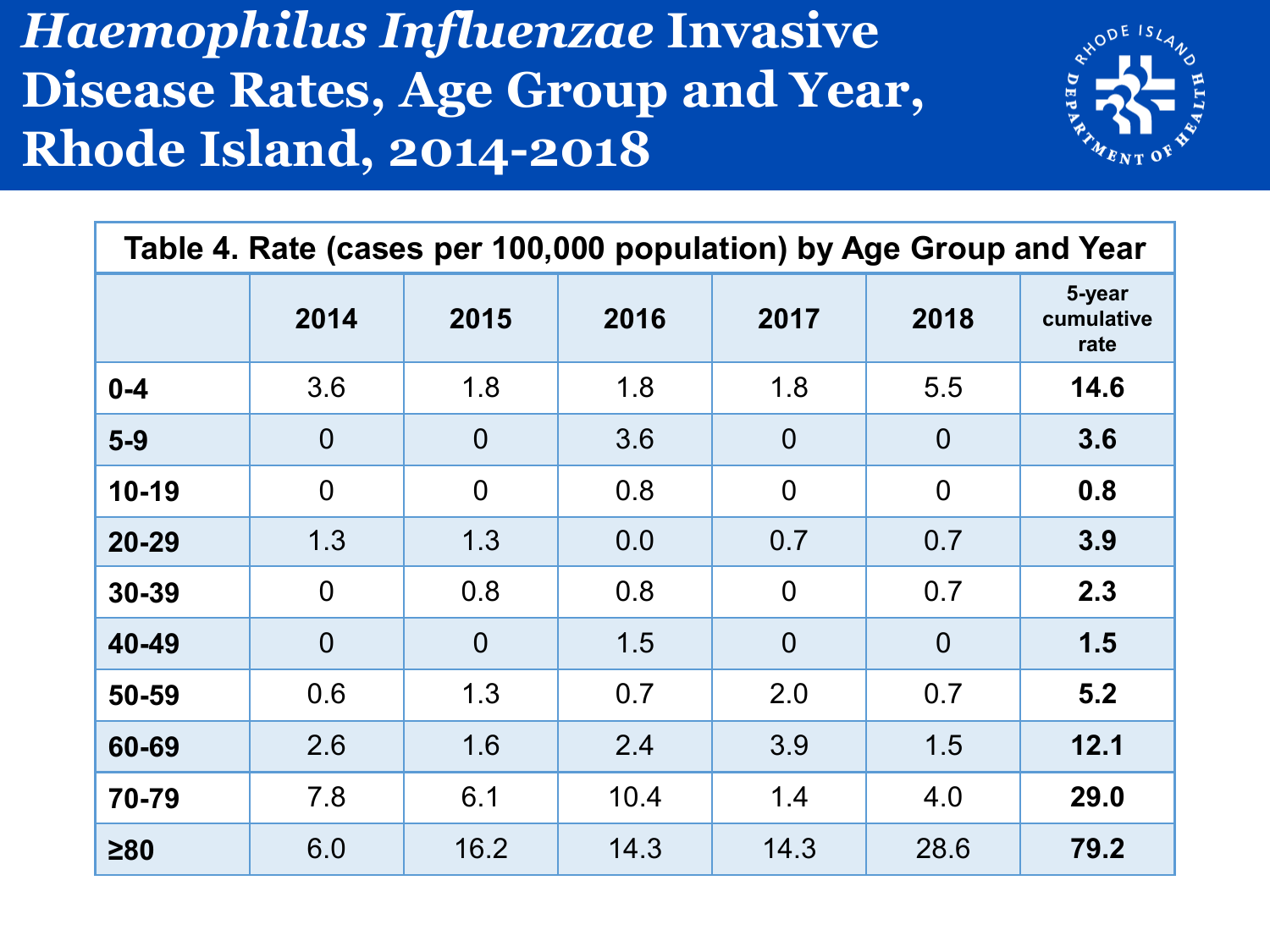#### *Haemophilus Influenzae* **Invasive Disease Rates, Age Group and Year, Rhode Island, 2014-2018**



| Table 4. Rate (cases per 100,000 population) by Age Group and Year |                |                |      |                |                |                              |  |  |
|--------------------------------------------------------------------|----------------|----------------|------|----------------|----------------|------------------------------|--|--|
|                                                                    | 2014           | 2015           | 2016 | 2017           | 2018           | 5-year<br>cumulative<br>rate |  |  |
| $0 - 4$                                                            | 3.6            | 1.8            | 1.8  | 1.8            | 5.5            | 14.6                         |  |  |
| $5-9$                                                              | $\overline{0}$ | $\overline{0}$ | 3.6  | $\overline{0}$ | $\overline{0}$ | 3.6                          |  |  |
| $10-19$                                                            | $\overline{0}$ | $\overline{0}$ | 0.8  | $\overline{0}$ | $\overline{0}$ | 0.8                          |  |  |
| $20 - 29$                                                          | 1.3            | 1.3            | 0.0  | 0.7            | 0.7            | 3.9                          |  |  |
| 30-39                                                              | $\overline{0}$ | 0.8            | 0.8  | $\overline{0}$ | 0.7            | 2.3                          |  |  |
| 40-49                                                              | $\overline{0}$ | $\overline{0}$ | 1.5  | $\overline{0}$ | $\overline{0}$ | 1.5                          |  |  |
| 50-59                                                              | 0.6            | 1.3            | 0.7  | 2.0            | 0.7            | 5.2                          |  |  |
| 60-69                                                              | 2.6            | 1.6            | 2.4  | 3.9            | 1.5            | 12.1                         |  |  |
| 70-79                                                              | 7.8            | 6.1            | 10.4 | 1.4            | 4.0            | 29.0                         |  |  |
| $\geq 80$                                                          | 6.0            | 16.2           | 14.3 | 14.3           | 28.6           | 79.2                         |  |  |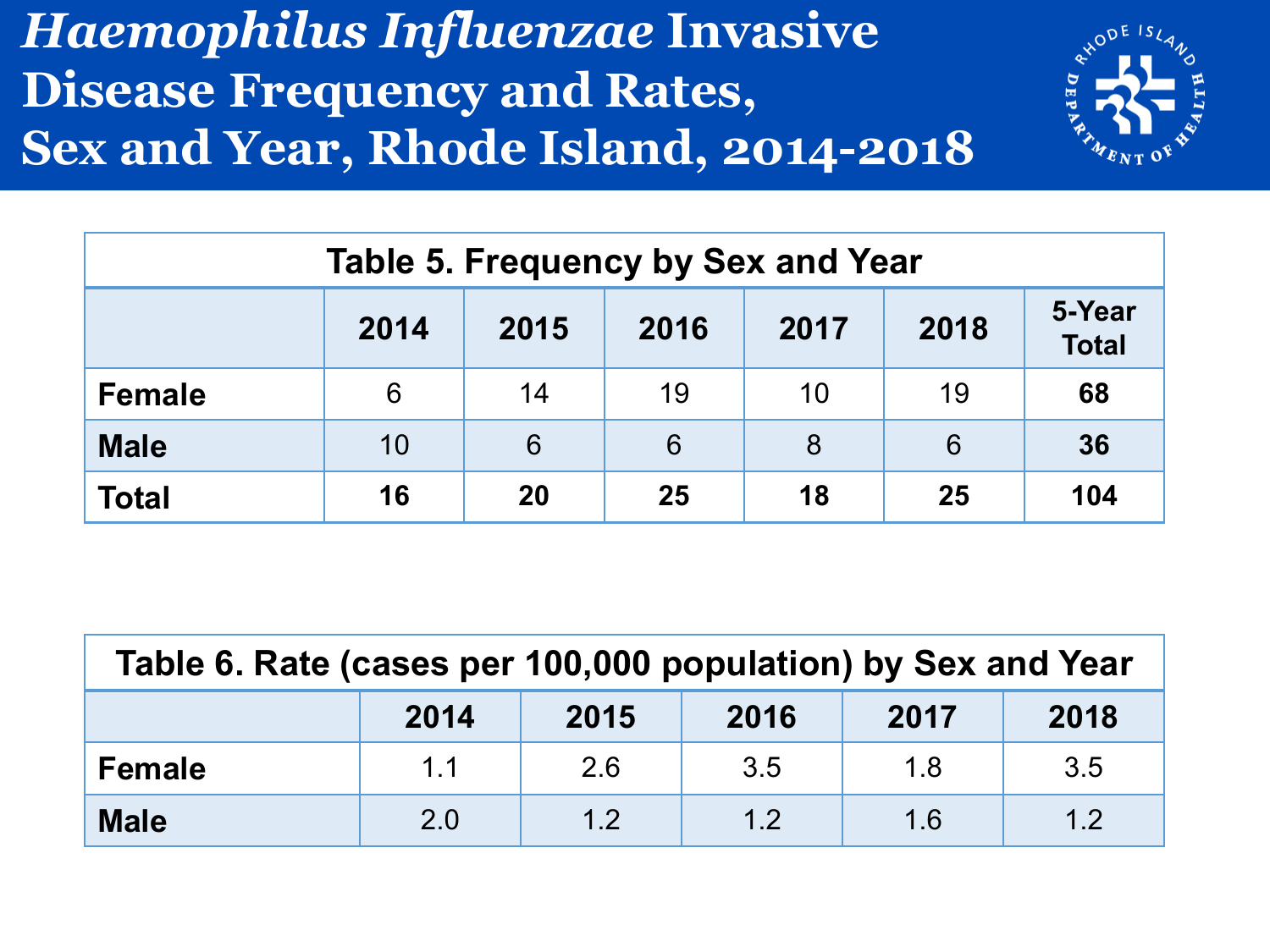#### *Haemophilus Influenzae* **Invasive Disease Frequency and Rates, Sex and Year, Rhode Island, 2014-2018**



| <b>Table 5. Frequency by Sex and Year</b> |                                                                |    |    |    |    |     |  |  |  |
|-------------------------------------------|----------------------------------------------------------------|----|----|----|----|-----|--|--|--|
|                                           | 5-Year<br>2018<br>2017<br>2015<br>2016<br>2014<br><b>Total</b> |    |    |    |    |     |  |  |  |
| <b>Female</b>                             | 6                                                              | 14 | 19 | 10 | 19 | 68  |  |  |  |
| <b>Male</b>                               | 10                                                             | 6  | 6  | 8  | 6  | 36  |  |  |  |
| <b>Total</b>                              | 16                                                             | 20 | 25 | 18 | 25 | 104 |  |  |  |

| Table 6. Rate (cases per 100,000 population) by Sex and Year |                                      |     |     |     |     |  |  |  |
|--------------------------------------------------------------|--------------------------------------|-----|-----|-----|-----|--|--|--|
|                                                              | 2017<br>2018<br>2015<br>2014<br>2016 |     |     |     |     |  |  |  |
| <b>Female</b>                                                | 1.1                                  | 2.6 | 3.5 | 1.8 | 3.5 |  |  |  |
| <b>Male</b>                                                  | 2.0                                  | 12  | 1.2 | 1.6 | 1.2 |  |  |  |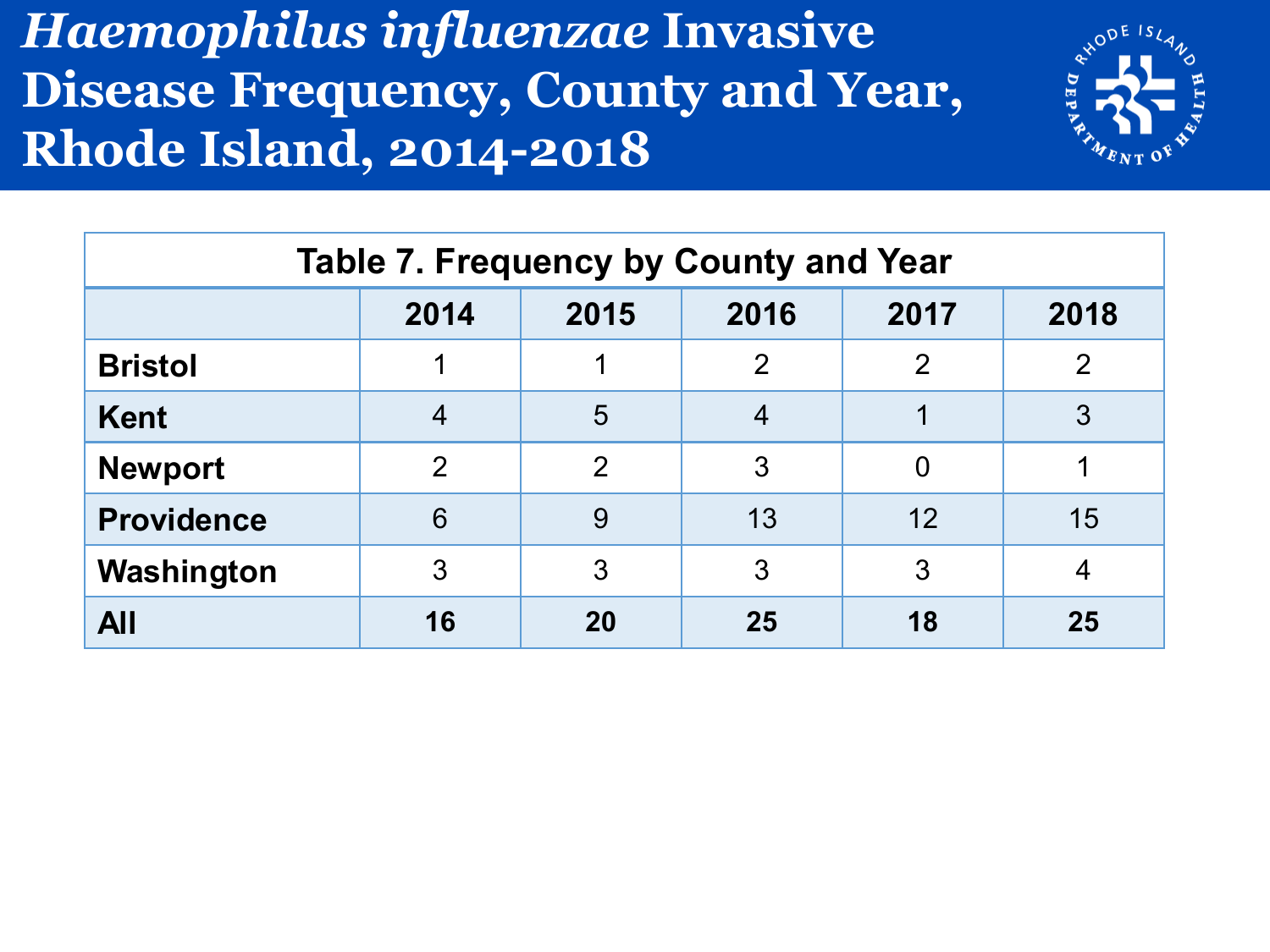#### *Haemophilus influenzae* **Invasive Disease Frequency, County and Year, Rhode Island, 2014-2018**



| <b>Table 7. Frequency by County and Year</b> |                |               |                |                |                |  |  |  |
|----------------------------------------------|----------------|---------------|----------------|----------------|----------------|--|--|--|
|                                              | 2014           | 2015          | 2016           | 2017           | 2018           |  |  |  |
| <b>Bristol</b>                               |                |               | $\mathcal{P}$  | 2              | $\overline{2}$ |  |  |  |
| <b>Kent</b>                                  | 4              | 5             | $\overline{4}$ |                | 3              |  |  |  |
| <b>Newport</b>                               | $\overline{2}$ | $\mathcal{P}$ | 3              | $\overline{0}$ |                |  |  |  |
| <b>Providence</b>                            | 6              | 9             | 13             | 12             | 15             |  |  |  |
| Washington                                   | 3              | 3             | 3              | 3              | 4              |  |  |  |
| <b>All</b>                                   | 16             | 20            | 25             | 18             | 25             |  |  |  |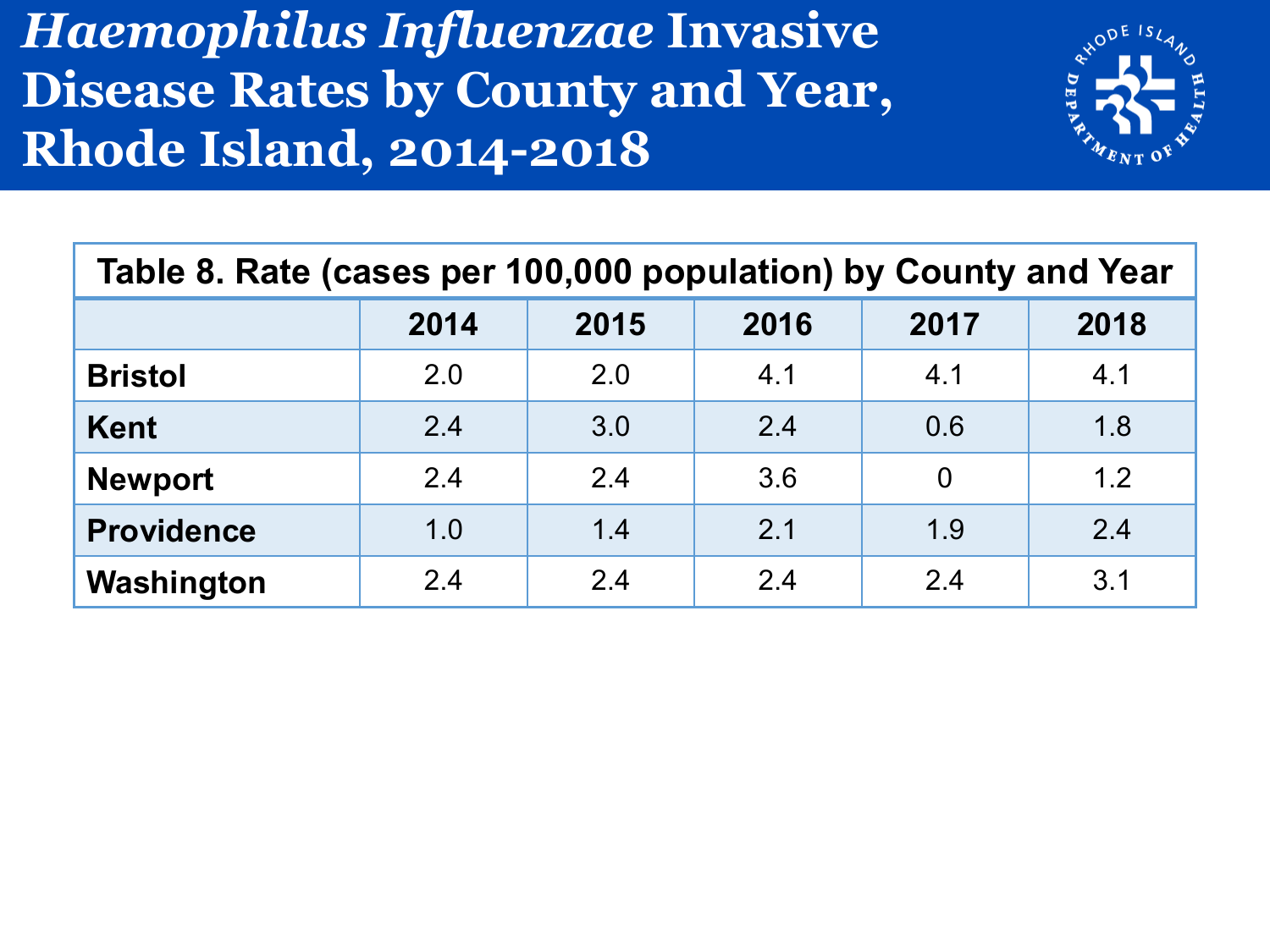#### *Haemophilus Influenzae* **Invasive Disease Rates by County and Year, Rhode Island, 2014-2018**



| Table 8. Rate (cases per 100,000 population) by County and Year |      |      |      |                |      |  |  |  |
|-----------------------------------------------------------------|------|------|------|----------------|------|--|--|--|
|                                                                 | 2014 | 2015 | 2016 | 2017           | 2018 |  |  |  |
| <b>Bristol</b>                                                  | 2.0  | 2.0  | 4.1  | 4.1            | 4.1  |  |  |  |
| <b>Kent</b>                                                     | 2.4  | 3.0  | 2.4  | 0.6            | 1.8  |  |  |  |
| <b>Newport</b>                                                  | 2.4  | 2.4  | 3.6  | $\overline{0}$ | 1.2  |  |  |  |
| <b>Providence</b>                                               | 1.0  | 1.4  | 2.1  | 1.9            | 2.4  |  |  |  |
| Washington                                                      | 2.4  | 2.4  | 2.4  | 2.4            | 3.1  |  |  |  |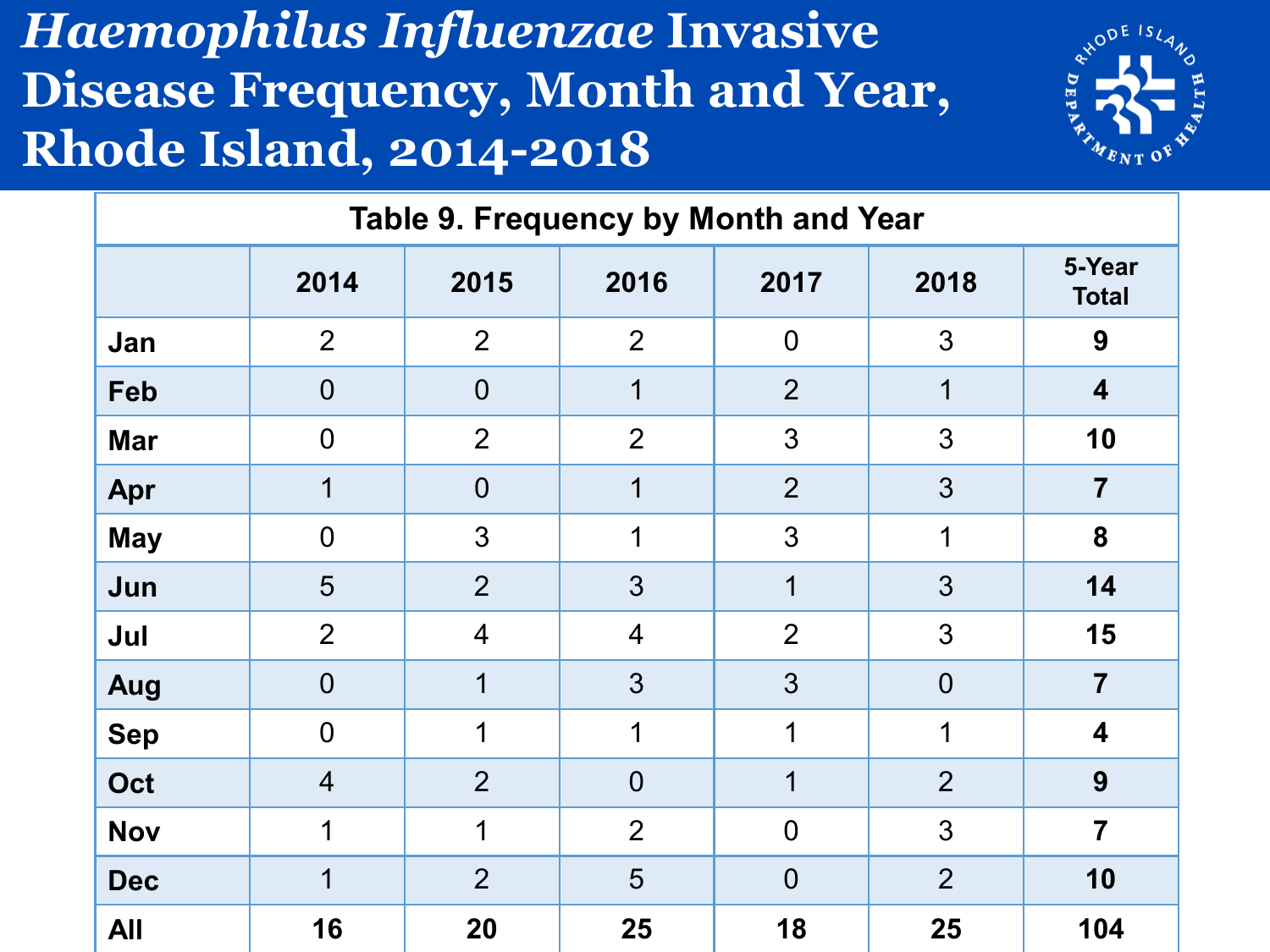#### *Haemophilus Influenzae* **Invasive Disease Frequency, Month and Year, Rhode Island, 2014-2018**



| Table 9. Frequency by Month and Year |                |                |                |                |                |                         |  |  |
|--------------------------------------|----------------|----------------|----------------|----------------|----------------|-------------------------|--|--|
|                                      | 2014           | 2015           | 2016           | 2017           | 2018           | 5-Year<br><b>Total</b>  |  |  |
| Jan                                  | $\overline{2}$ | $\overline{2}$ | $\overline{2}$ | $\overline{0}$ | 3              | 9                       |  |  |
| <b>Feb</b>                           | $\overline{0}$ | $\overline{0}$ | 1              | $\overline{2}$ | 1              | $\overline{\mathbf{4}}$ |  |  |
| <b>Mar</b>                           | $\overline{0}$ | 2              | $\overline{2}$ | 3              | 3              | 10                      |  |  |
| Apr                                  | 1              | $\overline{0}$ | 1              | $\overline{2}$ | 3              | $\overline{7}$          |  |  |
| <b>May</b>                           | $\overline{0}$ | 3              | 1              | 3              | 1              | 8                       |  |  |
| Jun                                  | 5              | $\overline{2}$ | 3              | 1              | 3              | 14                      |  |  |
| Jul                                  | $\overline{2}$ | $\overline{4}$ | $\overline{4}$ | $\overline{2}$ | 3              | 15                      |  |  |
| Aug                                  | $\overline{0}$ | 1              | 3              | 3              | $\overline{0}$ | $\overline{7}$          |  |  |
| <b>Sep</b>                           | $\overline{0}$ | 1              | 1              | 1              | 1              | 4                       |  |  |
| Oct                                  | $\overline{4}$ | $\overline{2}$ | $\overline{0}$ | 1              | $\overline{2}$ | 9                       |  |  |
| <b>Nov</b>                           | 1              | $\mathbf 1$    | $\overline{2}$ | $\mathbf 0$    | 3              | $\overline{7}$          |  |  |
| <b>Dec</b>                           | 1              | $\overline{2}$ | 5              | $\overline{0}$ | $\overline{2}$ | 10                      |  |  |
| <b>All</b>                           | 16             | 20             | 25             | 18             | 25             | 104                     |  |  |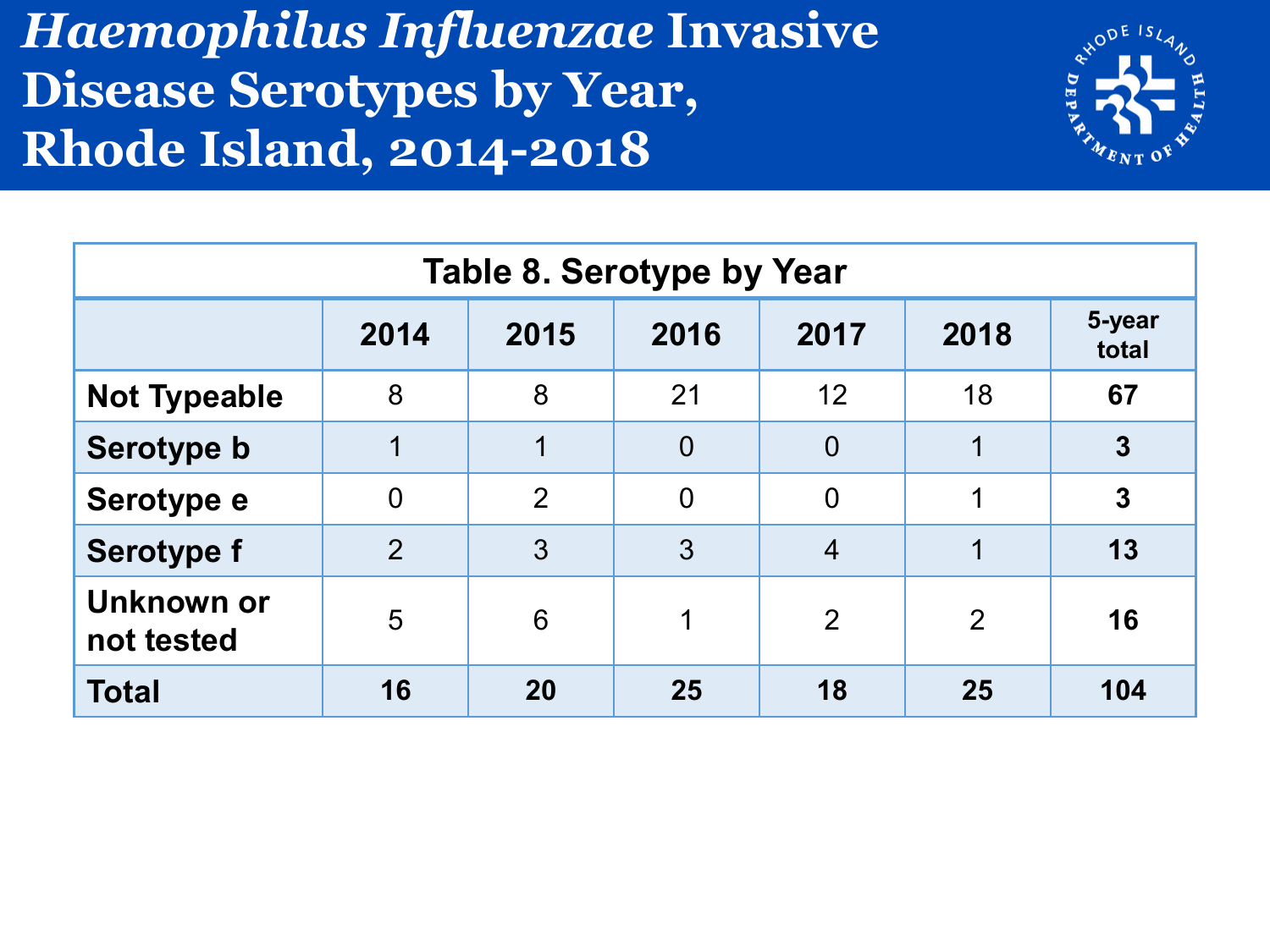#### *Haemophilus Influenzae* **Invasive Disease Serotypes by Year, Rhode Island, 2014-2018**



| <b>Table 8. Serotype by Year</b> |                |                |                |                |      |                 |  |  |
|----------------------------------|----------------|----------------|----------------|----------------|------|-----------------|--|--|
|                                  | 2014           | 2015           | 2016           | 2017           | 2018 | 5-year<br>total |  |  |
| <b>Not Typeable</b>              | 8              | 8              | 21             | 12             | 18   | 67              |  |  |
| Serotype b                       |                |                | $\overline{0}$ | $\overline{0}$ | 1    | $\overline{3}$  |  |  |
| Serotype e                       | $\overline{0}$ | $\overline{2}$ | $\overline{0}$ | $\overline{0}$ | 1    | $\overline{3}$  |  |  |
| <b>Serotype f</b>                | $\overline{2}$ | 3              | 3              | $\overline{4}$ |      | 13              |  |  |
| Unknown or<br>not tested         | 5              | 6              | 1              | $\overline{2}$ | 2    | 16              |  |  |
| <b>Total</b>                     | 16             | 20             | 25             | 18             | 25   | 104             |  |  |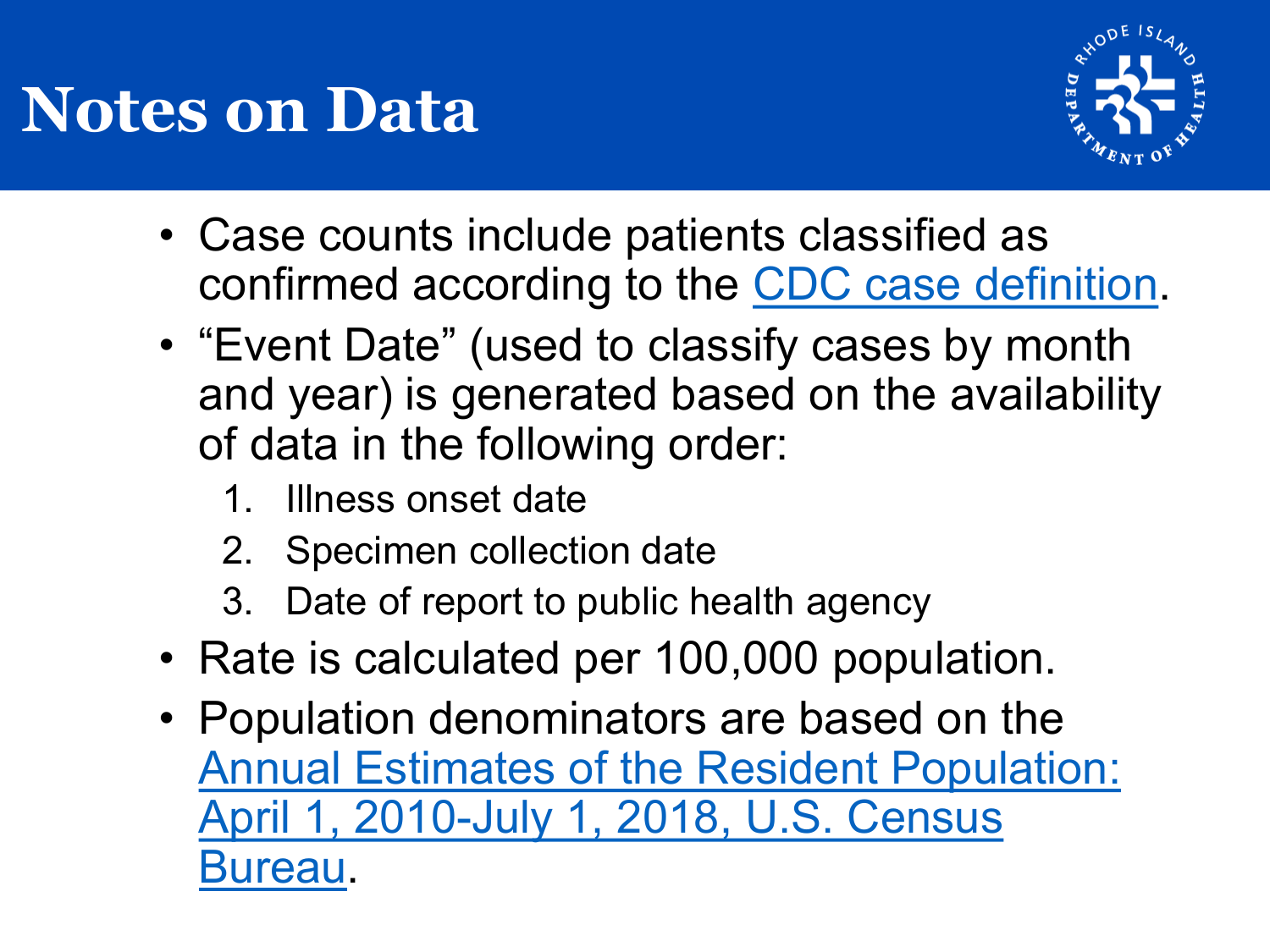### **Notes on Data**



- Case counts include patients classified as confirmed according to the [CDC case definition.](https://wwwn.cdc.gov/nndss/conditions/haemophilus-influenzae-invasive-disease/case-definition/2015/)
- "Event Date" (used to classify cases by month and year) is generated based on the availability of data in the following order:
	- 1. Illness onset date
	- 2. Specimen collection date
	- 3. Date of report to public health agency
- Rate is calculated per 100,000 population.
- Population denominators are based on the [Annual Estimates of the Resident Population:](https://factfinder.census.gov/faces/nav/jsf/pages/guided_search.xhtml) April 1, 2010-July 1, 2018, U.S. Census Bureau.